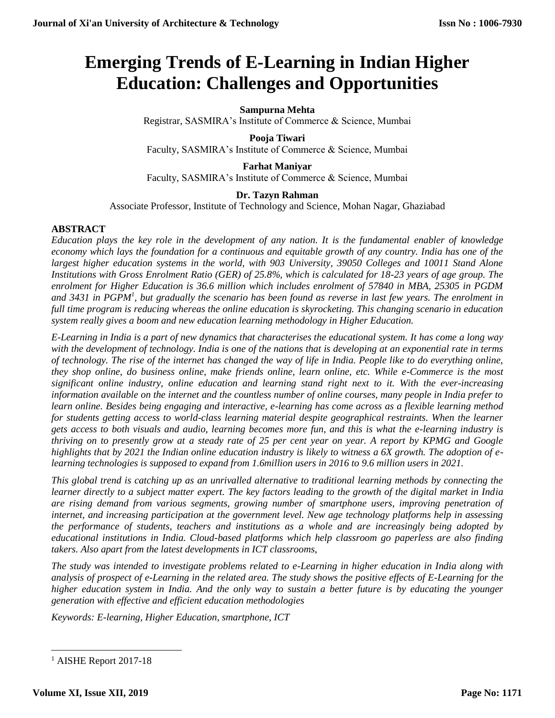# **Emerging Trends of E-Learning in Indian Higher Education: Challenges and Opportunities**

## **Sampurna Mehta**

Registrar, SASMIRA's Institute of Commerce & Science, Mumbai

# **Pooja Tiwari** Faculty, SASMIRA's Institute of Commerce & Science, Mumbai

# **Farhat Maniyar** Faculty, SASMIRA's Institute of Commerce & Science, Mumbai

# **Dr. Tazyn Rahman**

Associate Professor, Institute of Technology and Science, Mohan Nagar, Ghaziabad

# **ABSTRACT**

*Education plays the key role in the development of any nation. It is the fundamental enabler of knowledge economy which lays the foundation for a continuous and equitable growth of any country. India has one of the largest higher education systems in the world, with 903 University, 39050 Colleges and 10011 Stand Alone Institutions with Gross Enrolment Ratio (GER) of 25.8%, which is calculated for 18-23 years of age group. The enrolment for Higher Education is 36.6 million which includes enrolment of 57840 in MBA, 25305 in PGDM*  and 3431 in PGPM<sup>1</sup>, but gradually the scenario has been found as reverse in last few years. The enrolment in *full time program is reducing whereas the online education is skyrocketing. This changing scenario in education system really gives a boom and new education learning methodology in Higher Education.* 

*E-Learning in India is a part of new dynamics that characterises the educational system. It has come a long way with the development of technology. India is one of the nations that is developing at an exponential rate in terms of technology. The rise of the internet has changed the way of life in India. People like to do everything online, they shop online, do business online, make friends online, learn online, etc. While e-Commerce is the most significant online industry, online education and learning stand right next to it. With the ever-increasing information available on the internet and the countless number of online courses, many people in India prefer to learn online. Besides being engaging and interactive, e-learning has come across as a flexible learning method for students getting access to world-class learning material despite geographical restraints. When the learner gets access to both visuals and audio, learning becomes more fun, and this is what the e-learning industry is thriving on to presently grow at a steady rate of 25 per cent year on year. A report by KPMG and Google highlights that by 2021 the Indian online education industry is likely to witness a 6X growth. The adoption of elearning technologies is supposed to expand from 1.6million users in 2016 to 9.6 million users in 2021.*

*This global trend is catching up as an unrivalled alternative to traditional learning methods by connecting the learner directly to a subject matter expert. The key factors leading to the growth of the digital market in India are rising demand from various segments, growing number of smartphone users, improving penetration of internet, and increasing participation at the government level. New age technology platforms help in assessing the performance of students, teachers and institutions as a whole and are increasingly being adopted by educational institutions in India. Cloud-based platforms which help classroom go paperless are also finding takers. Also apart from the latest developments in ICT classrooms,* 

*The study was intended to investigate problems related to e-Learning in higher education in India along with analysis of prospect of e-Learning in the related area. The study shows the positive effects of E-Learning for the higher education system in India. And the only way to sustain a better future is by educating the younger generation with effective and efficient education methodologies*

*Keywords: E-learning, Higher Education, smartphone, ICT*

**<sup>.</sup>** <sup>1</sup> AISHE Report 2017-18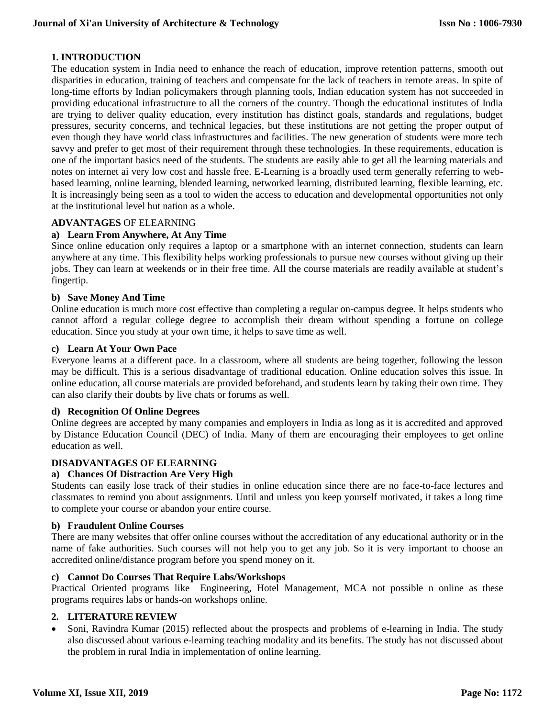# **1. INTRODUCTION**

The education system in India need to enhance the reach of education, improve retention patterns, smooth out disparities in education, training of teachers and compensate for the lack of teachers in remote areas. In spite of long-time efforts by Indian policymakers through planning tools, Indian education system has not succeeded in providing educational infrastructure to all the corners of the country. Though the educational institutes of India are trying to deliver quality education, every institution has distinct goals, standards and regulations, budget pressures, security concerns, and technical legacies, but these institutions are not getting the proper output of even though they have world class infrastructures and facilities. The new generation of students were more tech savvy and prefer to get most of their requirement through these technologies. In these requirements, education is one of the important basics need of the students. The students are easily able to get all the learning materials and notes on internet ai very low cost and hassle free. E-Learning is a broadly used term generally referring to webbased learning, online learning, blended learning, networked learning, distributed learning, flexible learning, etc. It is increasingly being seen as a tool to widen the access to education and developmental opportunities not only at the institutional level but nation as a whole.

# **ADVANTAGES** OF ELEARNING

## **a) Learn From Anywhere, At Any Time**

Since online education only requires a laptop or a smartphone with an internet connection, students can learn anywhere at any time. This flexibility helps working professionals to pursue new courses without giving up their jobs. They can learn at weekends or in their free time. All the course materials are readily available at student's fingertip.

#### **b) Save Money And Time**

Online education is much more cost effective than completing a regular on-campus degree. It helps students who cannot afford a regular college degree to accomplish their dream without spending a fortune on college education. Since you study at your own time, it helps to save time as well.

#### **c) Learn At Your Own Pace**

Everyone learns at a different pace. In a classroom, where all students are being together, following the lesson may be difficult. This is a serious disadvantage of traditional education. Online education solves this issue. In online education, all course materials are provided beforehand, and students learn by taking their own time. They can also clarify their doubts by live chats or forums as well.

## **d) Recognition Of Online Degrees**

Online degrees are accepted by many companies and employers in India as long as it is accredited and approved by Distance Education Council (DEC) of India. Many of them are encouraging their employees to get online education as well.

# **DISADVANTAGES OF ELEARNING**

#### **a) Chances Of Distraction Are Very High**

Students can easily lose track of their studies in online education since there are no face-to-face lectures and classmates to remind you about assignments. Until and unless you keep yourself motivated, it takes a long time to complete your course or abandon your entire course.

#### **b) Fraudulent Online Courses**

There are many websites that offer online courses without the accreditation of any educational authority or in the name of fake authorities. Such courses will not help you to get any job. So it is very important to choose an accredited online/distance program before you spend money on it.

#### **c) Cannot Do Courses That Require Labs/Workshops**

Practical Oriented programs like Engineering, Hotel Management, MCA not possible n online as these programs requires labs or hands-on workshops online.

# **2. LITERATURE REVIEW**

• Soni, Ravindra Kumar (2015) reflected about the prospects and problems of e-learning in India. The study also discussed about various e-learning teaching modality and its benefits. The study has not discussed about the problem in rural India in implementation of online learning.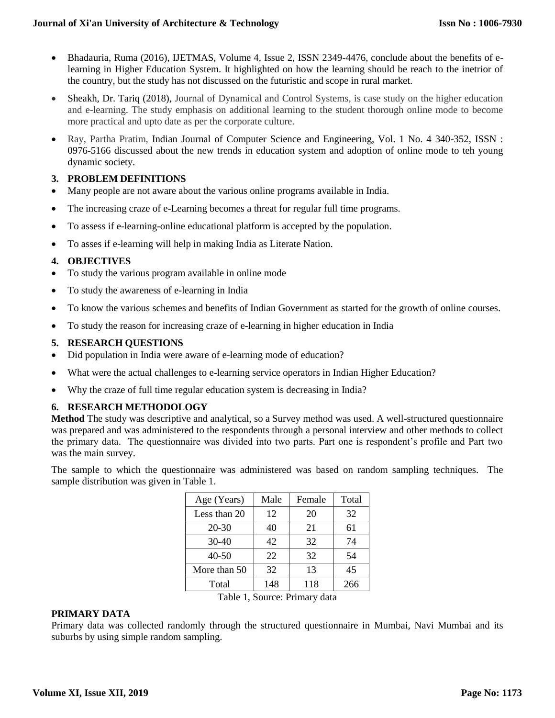- Bhadauria, Ruma (2016), IJETMAS, Volume 4, Issue 2, ISSN 2349-4476, conclude about the benefits of elearning in Higher Education System. It highlighted on how the learning should be reach to the inetrior of the country, but the study has not discussed on the futuristic and scope in rural market.
- Sheakh, Dr. Tariq (2018), Journal of Dynamical and Control Systems, is case study on the higher education and e-learning. The study emphasis on additional learning to the student thorough online mode to become more practical and upto date as per the corporate culture.
- Ray, Partha Pratim, Indian Journal of Computer Science and Engineering, Vol. 1 No. 4 340-352, ISSN : 0976-5166 discussed about the new trends in education system and adoption of online mode to teh young dynamic society.

# **3. PROBLEM DEFINITIONS**

- Many people are not aware about the various online programs available in India.
- The increasing craze of e-Learning becomes a threat for regular full time programs.
- To assess if e-learning-online educational platform is accepted by the population.
- To asses if e-learning will help in making India as Literate Nation.

# **4. OBJECTIVES**

- To study the various program available in online mode
- To study the awareness of e-learning in India
- To know the various schemes and benefits of Indian Government as started for the growth of online courses.
- To study the reason for increasing craze of e-learning in higher education in India

# **5. RESEARCH QUESTIONS**

- Did population in India were aware of e-learning mode of education?
- What were the actual challenges to e-learning service operators in Indian Higher Education?
- Why the craze of full time regular education system is decreasing in India?

# **6. RESEARCH METHODOLOGY**

**Method** The study was descriptive and analytical, so a Survey method was used. A well-structured questionnaire was prepared and was administered to the respondents through a personal interview and other methods to collect the primary data. The questionnaire was divided into two parts. Part one is respondent's profile and Part two was the main survey.

The sample to which the questionnaire was administered was based on random sampling techniques. The sample distribution was given in Table 1.

| Age (Years)                   | Male | Female | Total |  |
|-------------------------------|------|--------|-------|--|
| Less than 20                  | 12   | 20     | 32    |  |
| $20 - 30$                     | 40   | 21     | 61    |  |
| $30 - 40$                     | 42   | 32     | 74    |  |
| $40 - 50$                     | 22   | 32     | 54    |  |
| More than 50                  | 32   | 13     | 45    |  |
| Total                         | 148  | 118    | 266   |  |
| Table 1, Source: Primary data |      |        |       |  |

#### **PRIMARY DATA**

Primary data was collected randomly through the structured questionnaire in Mumbai, Navi Mumbai and its suburbs by using simple random sampling.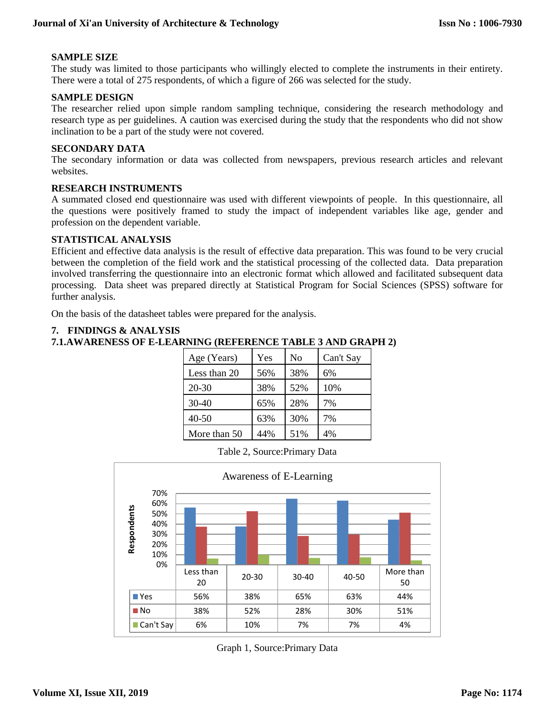# **SAMPLE SIZE**

The study was limited to those participants who willingly elected to complete the instruments in their entirety. There were a total of 275 respondents, of which a figure of 266 was selected for the study.

# **SAMPLE DESIGN**

The researcher relied upon simple random sampling technique, considering the research methodology and research type as per guidelines. A caution was exercised during the study that the respondents who did not show inclination to be a part of the study were not covered.

## **SECONDARY DATA**

The secondary information or data was collected from newspapers, previous research articles and relevant websites.

## **RESEARCH INSTRUMENTS**

A summated closed end questionnaire was used with different viewpoints of people. In this questionnaire, all the questions were positively framed to study the impact of independent variables like age, gender and profession on the dependent variable.

# **STATISTICAL ANALYSIS**

Efficient and effective data analysis is the result of effective data preparation. This was found to be very crucial between the completion of the field work and the statistical processing of the collected data. Data preparation involved transferring the questionnaire into an electronic format which allowed and facilitated subsequent data processing. Data sheet was prepared directly at Statistical Program for Social Sciences (SPSS) software for further analysis.

On the basis of the datasheet tables were prepared for the analysis.

## **7. FINDINGS & ANALYSIS**

```
7.1.AWARENESS OF E-LEARNING (REFERENCE TABLE 3 AND GRAPH 2)
```

| Age (Years)  | Yes | No  | Can't Say |
|--------------|-----|-----|-----------|
| Less than 20 | 56% | 38% | 6%        |
| $20 - 30$    | 38% | 52% | 10%       |
| $30-40$      | 65% | 28% | 7%        |
| 40-50        | 63% | 30% | 7%        |
| More than 50 | 44% | 51% | 4%        |

Table 2, Source:Primary Data



Graph 1, Source:Primary Data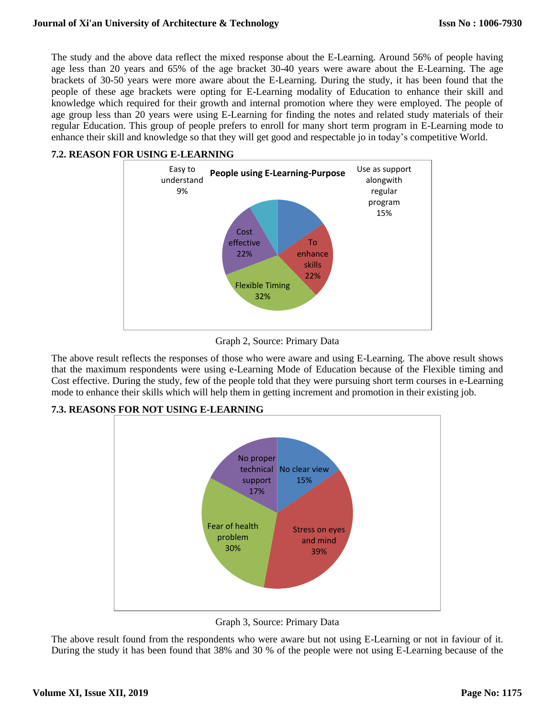The study and the above data reflect the mixed response about the E-Learning. Around 56% of people having age less than 20 years and 65% of the age bracket 30-40 years were aware about the E-Learning. The age brackets of 30-50 years were more aware about the E-Learning. During the study, it has been found that the people of these age brackets were opting for E-Learning modality of Education to enhance their skill and knowledge which required for their growth and internal promotion where they were employed. The people of age group less than 20 years were using E-Learning for finding the notes and related study materials of their regular Education. This group of people prefers to enroll for many short term program in E-Learning mode to enhance their skill and knowledge so that they will get good and respectable jo in today's competitive World.

# **7.2. REASON FOR USING E-LEARNING**



Graph 2, Source: Primary Data

The above result reflects the responses of those who were aware and using E-Learning. The above result shows that the maximum respondents were using e-Learning Mode of Education because of the Flexible timing and Cost effective. During the study, few of the people told that they were pursuing short term courses in e-Learning mode to enhance their skills which will help them in getting increment and promotion in their existing job.

**7.3. REASONS FOR NOT USING E-LEARNING** 



Graph 3, Source: Primary Data

The above result found from the respondents who were aware but not using E-Learning or not in faviour of it. During the study it has been found that 38% and 30 % of the people were not using E-Learning because of the